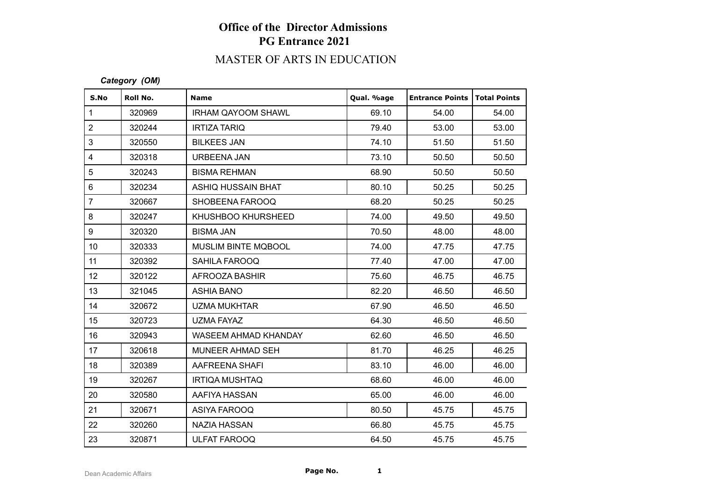# MASTER OF ARTS IN EDUCATION

### *Category (OM)*

| S.No             | Roll No. | <b>Name</b>               | Qual. %age | <b>Entrance Points</b> | Total Points |
|------------------|----------|---------------------------|------------|------------------------|--------------|
| $\mathbf{1}$     | 320969   | <b>IRHAM QAYOOM SHAWL</b> | 69.10      | 54.00                  | 54.00        |
| $\overline{2}$   | 320244   | <b>IRTIZA TARIQ</b>       | 79.40      | 53.00                  | 53.00        |
| 3                | 320550   | <b>BILKEES JAN</b>        | 74.10      | 51.50                  | 51.50        |
| $\overline{4}$   | 320318   | <b>URBEENA JAN</b>        | 73.10      | 50.50                  | 50.50        |
| 5                | 320243   | <b>BISMA REHMAN</b>       | 68.90      | 50.50                  | 50.50        |
| $\,6\,$          | 320234   | ASHIQ HUSSAIN BHAT        | 80.10      | 50.25                  | 50.25        |
| $\overline{7}$   | 320667   | SHOBEENA FAROOQ           | 68.20      | 50.25                  | 50.25        |
| $\bf 8$          | 320247   | KHUSHBOO KHURSHEED        | 74.00      | 49.50                  | 49.50        |
| $\boldsymbol{9}$ | 320320   | <b>BISMA JAN</b>          | 70.50      | 48.00                  | 48.00        |
| 10 <sup>°</sup>  | 320333   | MUSLIM BINTE MQBOOL       | 74.00      | 47.75                  | 47.75        |
| 11               | 320392   | SAHILA FAROOQ             | 77.40      | 47.00                  | 47.00        |
| 12               | 320122   | AFROOZA BASHIR            | 75.60      | 46.75                  | 46.75        |
| 13               | 321045   | <b>ASHIA BANO</b>         | 82.20      | 46.50                  | 46.50        |
| 14               | 320672   | <b>UZMA MUKHTAR</b>       | 67.90      | 46.50                  | 46.50        |
| 15               | 320723   | UZMA FAYAZ                | 64.30      | 46.50                  | 46.50        |
| 16               | 320943   | WASEEM AHMAD KHANDAY      | 62.60      | 46.50                  | 46.50        |
| 17               | 320618   | MUNEER AHMAD SEH          | 81.70      | 46.25                  | 46.25        |
| 18               | 320389   | AAFREENA SHAFI            | 83.10      | 46.00                  | 46.00        |
| 19               | 320267   | <b>IRTIQA MUSHTAQ</b>     | 68.60      | 46.00                  | 46.00        |
| 20               | 320580   | AAFIYA HASSAN             | 65.00      | 46.00                  | 46.00        |
| 21               | 320671   | ASIYA FAROOQ              | 80.50      | 45.75                  | 45.75        |
| 22               | 320260   | NAZIA HASSAN              | 66.80      | 45.75                  | 45.75        |
| 23               | 320871   | <b>ULFAT FAROOQ</b>       | 64.50      | 45.75                  | 45.75        |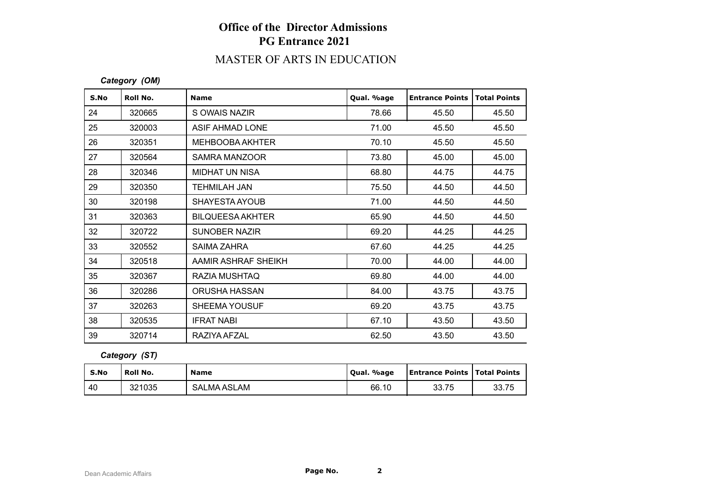# MASTER OF ARTS IN EDUCATION

### *Category (OM)*

| S.No | Roll No. | <b>Name</b>             | Qual. %age | <b>Entrance Points</b> | <b>Total Points</b> |
|------|----------|-------------------------|------------|------------------------|---------------------|
| 24   | 320665   | S OWAIS NAZIR           | 78.66      | 45.50                  | 45.50               |
| 25   | 320003   | ASIF AHMAD LONE         | 71.00      | 45.50                  | 45.50               |
| 26   | 320351   | <b>MEHBOOBA AKHTER</b>  | 70.10      | 45.50                  | 45.50               |
| 27   | 320564   | SAMRA MANZOOR           | 73.80      | 45.00                  | 45.00               |
| 28   | 320346   | <b>MIDHAT UN NISA</b>   | 68.80      | 44.75                  | 44.75               |
| 29   | 320350   | TEHMILAH JAN            | 75.50      | 44.50                  | 44.50               |
| 30   | 320198   | SHAYESTA AYOUB          | 71.00      | 44.50                  | 44.50               |
| 31   | 320363   | <b>BILQUEESA AKHTER</b> | 65.90      | 44.50                  | 44.50               |
| 32   | 320722   | <b>SUNOBER NAZIR</b>    | 69.20      | 44.25                  | 44.25               |
| 33   | 320552   | SAIMA ZAHRA             | 67.60      | 44.25                  | 44.25               |
| 34   | 320518   | AAMIR ASHRAF SHEIKH     | 70.00      | 44.00                  | 44.00               |
| 35   | 320367   | RAZIA MUSHTAQ           | 69.80      | 44.00                  | 44.00               |
| 36   | 320286   | ORUSHA HASSAN           | 84.00      | 43.75                  | 43.75               |
| 37   | 320263   | <b>SHEEMA YOUSUF</b>    | 69.20      | 43.75                  | 43.75               |
| 38   | 320535   | <b>IFRAT NABI</b>       | 67.10      | 43.50                  | 43.50               |
| 39   | 320714   | RAZIYA AFZAL            | 62.50      | 43.50                  | 43.50               |

### *Category (ST)*

| S.No | <b>Roll No.</b> | <b>Name</b>        | Oual. %age | <b>Entrance Points   Total Points</b> |       |
|------|-----------------|--------------------|------------|---------------------------------------|-------|
| 40   | 321035          | <b>SALMA ASLAM</b> | 66.10      | 33.75                                 | 33.75 |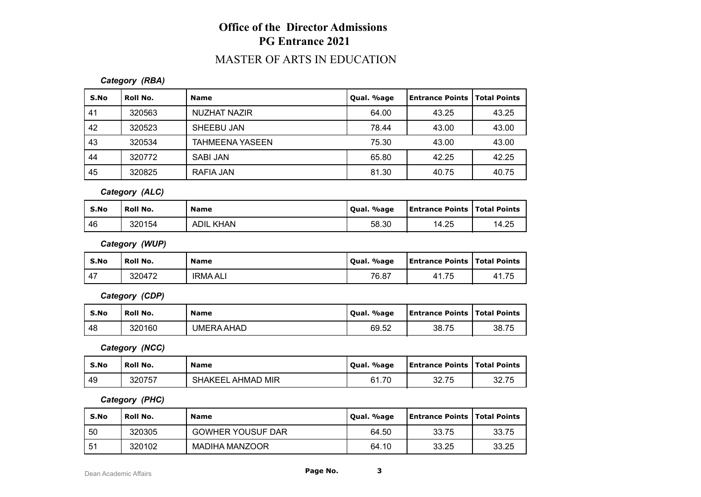## MASTER OF ARTS IN EDUCATION

*Category (RBA)*

| S.No | Roll No. | <b>Name</b>            | Qual. %age | Entrance Points   Total Points |       |
|------|----------|------------------------|------------|--------------------------------|-------|
| 41   | 320563   | NUZHAT NAZIR           | 64.00      | 43.25                          | 43.25 |
| 42   | 320523   | SHEEBU JAN             | 78.44      | 43.00                          | 43.00 |
| 43   | 320534   | <b>TAHMEENA YASEEN</b> | 75.30      | 43.00                          | 43.00 |
| 44   | 320772   | SABI JAN               | 65.80      | 42.25                          | 42.25 |
| 45   | 320825   | RAFIA JAN              | 81.30      | 40.75                          | 40.75 |

*Category (ALC)*

| S.No | Roll No. | <b>Name</b>      | Qual. %age | <b>Entrance Points   Total Points</b> |       |
|------|----------|------------------|------------|---------------------------------------|-------|
| 46   | 320154   | <b>ADIL KHAN</b> | 58.30      | 14.25                                 | 14.25 |

*Category (WUP)*

| S.No | Roll No. | <b>Name</b>     | Qual. %age | <b>Entrance Points   Total Points</b> |             |
|------|----------|-----------------|------------|---------------------------------------|-------------|
| 47   | 320472   | <b>IRMA ALI</b> | 76.87      | 41.75                                 | 41.75<br>41 |

*Category (CDP)*

| S.No | Roll No. | <b>Name</b> | Oual. %age | Entrance Points   Total Points |       |
|------|----------|-------------|------------|--------------------------------|-------|
| -48  | 320160   | UMERA AHAD  | 69.52      | 38.75                          | 38.75 |

*Category (NCC)*

| S.No | Roll No. | <b>Name</b>                   | Qual. %age | <b>Entrance Points   Total Points</b> |       |
|------|----------|-------------------------------|------------|---------------------------------------|-------|
| -49  | 320757   | . AHMAD MIR<br><b>SHAKEEL</b> | 61.70      | 22.75<br>JZ.I J                       | 32.75 |

*Category (PHC)*

| S.No | ้ Roll No. | <b>Name</b>              | Qual. %age | Entrance Points   Total Points |       |
|------|------------|--------------------------|------------|--------------------------------|-------|
| 50   | 320305     | <b>GOWHER YOUSUF DAR</b> | 64.50      | 33.75                          | 33.75 |
| -51  | 320102     | MADIHA MANZOOR           | 64.10      | 33.25                          | 33.25 |